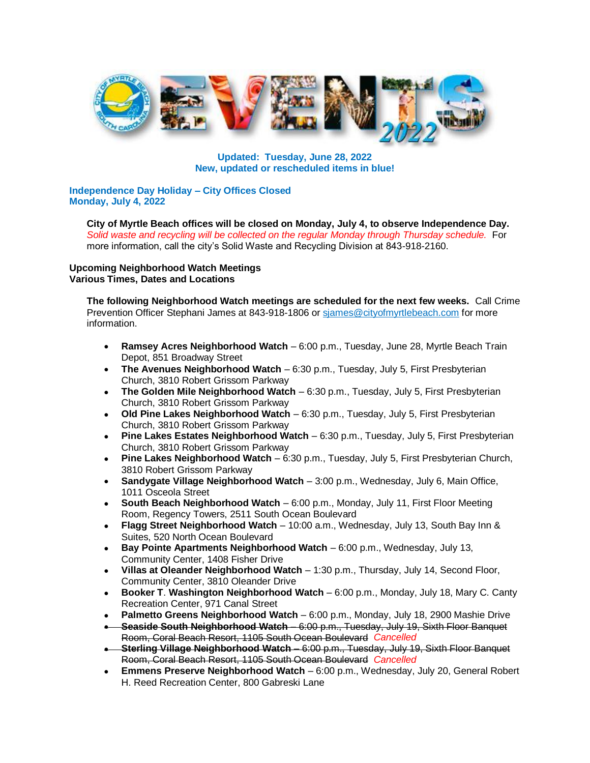

**Updated: Tuesday, June 28, 2022 New, updated or rescheduled items in blue!**

**Independence Day Holiday – City Offices Closed Monday, July 4, 2022**

**City of Myrtle Beach offices will be closed on Monday, July 4, to observe Independence Day.**  *Solid waste and recycling will be collected on the regular Monday through Thursday schedule.* For more information, call the city's Solid Waste and Recycling Division at 843-918-2160.

**Upcoming Neighborhood Watch Meetings Various Times, Dates and Locations**

**The following Neighborhood Watch meetings are scheduled for the next few weeks.** Call Crime Prevention Officer Stephani James at 843-918-1806 or sjames@cityofmyrtlebeach.com for more information.

- **Ramsey Acres Neighborhood Watch** 6:00 p.m., Tuesday, June 28, Myrtle Beach Train Depot, 851 Broadway Street
- **The Avenues Neighborhood Watch** 6:30 p.m., Tuesday, July 5, First Presbyterian Church, 3810 Robert Grissom Parkway
- **The Golden Mile Neighborhood Watch** 6:30 p.m., Tuesday, July 5, First Presbyterian Church, 3810 Robert Grissom Parkway
- **Old Pine Lakes Neighborhood Watch** 6:30 p.m., Tuesday, July 5, First Presbyterian Church, 3810 Robert Grissom Parkway
- **Pine Lakes Estates Neighborhood Watch** 6:30 p.m., Tuesday, July 5, First Presbyterian Church, 3810 Robert Grissom Parkway
- **Pine Lakes Neighborhood Watch** 6:30 p.m., Tuesday, July 5, First Presbyterian Church, 3810 Robert Grissom Parkway
- **Sandygate Village Neighborhood Watch** 3:00 p.m., Wednesday, July 6, Main Office, 1011 Osceola Street
- **South Beach Neighborhood Watch**  6:00 p.m., Monday, July 11, First Floor Meeting Room, Regency Towers, 2511 South Ocean Boulevard
- **Flagg Street Neighborhood Watch**  10:00 a.m., Wednesday, July 13, South Bay Inn & Suites, 520 North Ocean Boulevard
- **Bay Pointe Apartments Neighborhood Watch**  6:00 p.m., Wednesday, July 13, Community Center, 1408 Fisher Drive
- **Villas at Oleander Neighborhood Watch**  1:30 p.m., Thursday, July 14, Second Floor, Community Center, 3810 Oleander Drive
- **Booker T**. **Washington Neighborhood Watch** 6:00 p.m., Monday, July 18, Mary C. Canty Recreation Center, 971 Canal Street
- **Palmetto Greens Neighborhood Watch**  6:00 p.m., Monday, July 18, 2900 Mashie Drive
- **Seaside South Neighborhood Watch**  6:00 p.m., Tuesday, July 19, Sixth Floor Banquet Room, Coral Beach Resort, 1105 South Ocean Boulevard *Cancelled*
- **Sterling Village Neighborhood Watch**  6:00 p.m., Tuesday, July 19, Sixth Floor Banquet Room, Coral Beach Resort, 1105 South Ocean Boulevard *Cancelled*
- **Emmens Preserve Neighborhood Watch** 6:00 p.m., Wednesday, July 20, General Robert H. Reed Recreation Center, 800 Gabreski Lane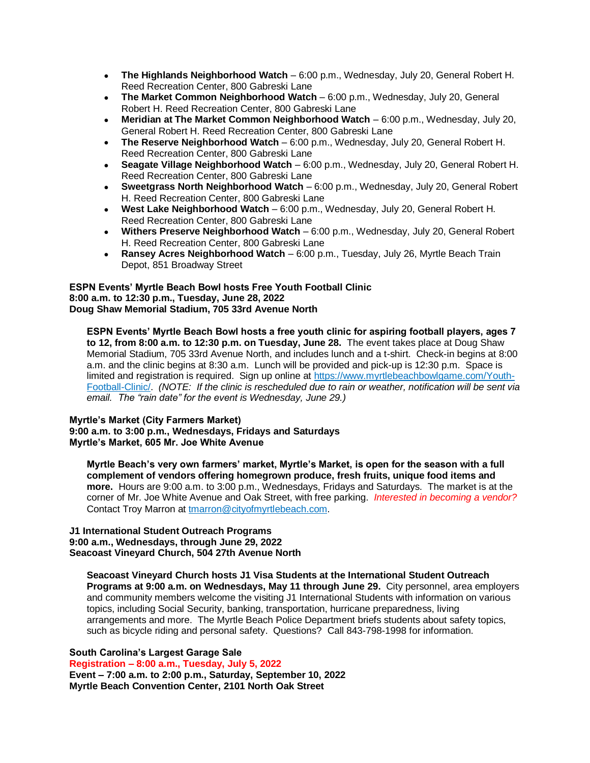- **The Highlands Neighborhood Watch** 6:00 p.m., Wednesday, July 20, General Robert H. Reed Recreation Center, 800 Gabreski Lane
- **The Market Common Neighborhood Watch** 6:00 p.m., Wednesday, July 20, General Robert H. Reed Recreation Center, 800 Gabreski Lane
- **Meridian at The Market Common Neighborhood Watch** 6:00 p.m., Wednesday, July 20, General Robert H. Reed Recreation Center, 800 Gabreski Lane
- **The Reserve Neighborhood Watch** 6:00 p.m., Wednesday, July 20, General Robert H. Reed Recreation Center, 800 Gabreski Lane
- **Seagate Village Neighborhood Watch** 6:00 p.m., Wednesday, July 20, General Robert H. Reed Recreation Center, 800 Gabreski Lane
- **Sweetgrass North Neighborhood Watch** 6:00 p.m., Wednesday, July 20, General Robert H. Reed Recreation Center, 800 Gabreski Lane
- **West Lake Neighborhood Watch** 6:00 p.m., Wednesday, July 20, General Robert H. Reed Recreation Center, 800 Gabreski Lane
- **Withers Preserve Neighborhood Watch** 6:00 p.m., Wednesday, July 20, General Robert H. Reed Recreation Center, 800 Gabreski Lane
- **Ransey Acres Neighborhood Watch**  6:00 p.m., Tuesday, July 26, Myrtle Beach Train Depot, 851 Broadway Street

**ESPN Events' Myrtle Beach Bowl hosts Free Youth Football Clinic 8:00 a.m. to 12:30 p.m., Tuesday, June 28, 2022 Doug Shaw Memorial Stadium, 705 33rd Avenue North**

**ESPN Events' Myrtle Beach Bowl hosts a free youth clinic for aspiring football players, ages 7 to 12, from 8:00 a.m. to 12:30 p.m. on Tuesday, June 28.** The event takes place at Doug Shaw Memorial Stadium, 705 33rd Avenue North, and includes lunch and a t-shirt. Check-in begins at 8:00 a.m. and the clinic begins at 8:30 a.m. Lunch will be provided and pick-up is 12:30 p.m. Space is limited and registration is required. Sign up online at https://www.myrtlebeachbowlgame.com/Youth-Football-Clinic/. *(NOTE: If the clinic is rescheduled due to rain or weather, notification will be sent via email. The "rain date" for the event is Wednesday, June 29.)*

# **Myrtle's Market (City Farmers Market)**

**9:00 a.m. to 3:00 p.m., Wednesdays, Fridays and Saturdays Myrtle's Market, 605 Mr. Joe White Avenue** 

**Myrtle Beach's very own farmers' market, Myrtle's Market, is open for the season with a full complement of vendors offering homegrown produce, fresh fruits, unique food items and more.** Hours are 9:00 a.m. to 3:00 p.m., Wednesdays, Fridays and Saturdays. The market is at the corner of Mr. Joe White Avenue and Oak Street, with free parking. *Interested in becoming a vendor?* Contact Troy Marron at tmarron@cityofmyrtlebeach.com.

## **J1 International Student Outreach Programs 9:00 a.m., Wednesdays, through June 29, 2022 Seacoast Vineyard Church, 504 27th Avenue North**

**Seacoast Vineyard Church hosts J1 Visa Students at the International Student Outreach Programs at 9:00 a.m. on Wednesdays, May 11 through June 29.** City personnel, area employers and community members welcome the visiting J1 International Students with information on various topics, including Social Security, banking, transportation, hurricane preparedness, living arrangements and more. The Myrtle Beach Police Department briefs students about safety topics, such as bicycle riding and personal safety. Questions? Call 843-798-1998 for information.

**South Carolina's Largest Garage Sale Registration – 8:00 a.m., Tuesday, July 5, 2022 Event – 7:00 a.m. to 2:00 p.m., Saturday, September 10, 2022 Myrtle Beach Convention Center, 2101 North Oak Street**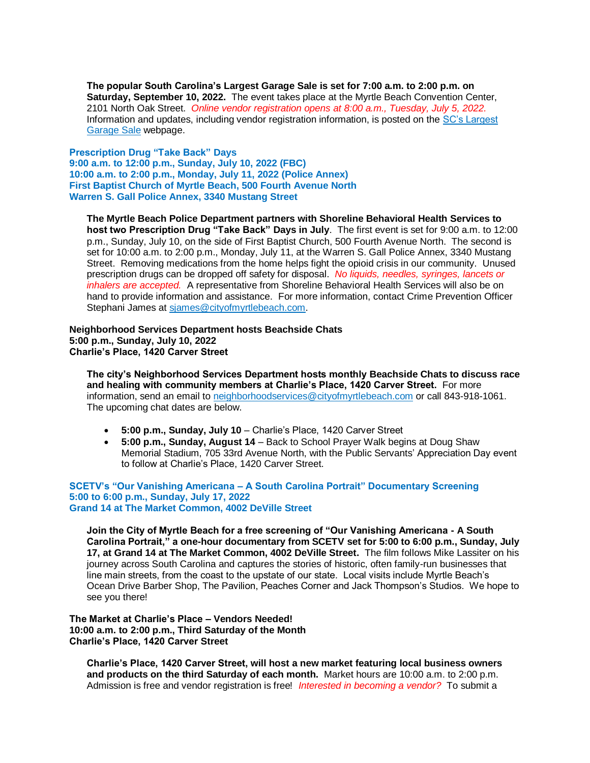**The popular South Carolina's Largest Garage Sale is set for 7:00 a.m. to 2:00 p.m. on Saturday, September 10, 2022.** The event takes place at the Myrtle Beach Convention Center, 2101 North Oak Street. *Online vendor registration opens at 8:00 a.m., Tuesday, July 5, 2022.* Information and updates, including vendor registration information, is posted on the [SC's Largest](https://www.cityofmyrtlebeach.com/i_want_to/learn_about/sc_s_largest_garage_sale.php)  [Garage Sale](https://www.cityofmyrtlebeach.com/i_want_to/learn_about/sc_s_largest_garage_sale.php) webpage.

**Prescription Drug "Take Back" Days 9:00 a.m. to 12:00 p.m., Sunday, July 10, 2022 (FBC) 10:00 a.m. to 2:00 p.m., Monday, July 11, 2022 (Police Annex) First Baptist Church of Myrtle Beach, 500 Fourth Avenue North Warren S. Gall Police Annex, 3340 Mustang Street**

**The Myrtle Beach Police Department partners with Shoreline Behavioral Health Services to host two Prescription Drug "Take Back" Days in July**. The first event is set for 9:00 a.m. to 12:00 p.m., Sunday, July 10, on the side of First Baptist Church, 500 Fourth Avenue North. The second is set for 10:00 a.m. to 2:00 p.m., Monday, July 11, at the Warren S. Gall Police Annex, 3340 Mustang Street. Removing medications from the home helps fight the opioid crisis in our community.Unused prescription drugs can be dropped off safety for disposal. *No liquids, needles, syringes, lancets or inhalers are accepted.* A representative from Shoreline Behavioral Health Services will also be on hand to provide information and assistance. For more information, contact Crime Prevention Officer Stephani James at sjames@cityofmyrtlebeach.com.

**Neighborhood Services Department hosts Beachside Chats 5:00 p.m., Sunday, July 10, 2022 Charlie's Place, 1420 Carver Street**

**The city's Neighborhood Services Department hosts monthly Beachside Chats to discuss race and healing with community members at Charlie's Place, 1420 Carver Street.** For more information, send an email to neighborhoodservices@cityofmyrtlebeach.com or call 843-918-1061. The upcoming chat dates are below.

- **5:00 p.m., Sunday, July 10** Charlie's Place, 1420 Carver Street
- **5:00 p.m., Sunday, August 14** Back to School Prayer Walk begins at Doug Shaw Memorial Stadium, 705 33rd Avenue North, with the Public Servants' Appreciation Day event to follow at Charlie's Place, 1420 Carver Street.

## **SCETV's "Our Vanishing Americana – A South Carolina Portrait" Documentary Screening 5:00 to 6:00 p.m., Sunday, July 17, 2022 Grand 14 at The Market Common, 4002 DeVille Street**

**Join the City of Myrtle Beach for a free screening of "Our Vanishing Americana - A South Carolina Portrait," a one-hour documentary from SCETV set for 5:00 to 6:00 p.m., Sunday, July 17, at Grand 14 at The Market Common, 4002 DeVille Street.** The film follows Mike Lassiter on his journey across South Carolina and captures the stories of historic, often family-run businesses that line main streets, from the coast to the upstate of our state. Local visits include Myrtle Beach's Ocean Drive Barber Shop, The Pavilion, Peaches Corner and Jack Thompson's Studios. We hope to see you there!

**The Market at Charlie's Place – Vendors Needed! 10:00 a.m. to 2:00 p.m., Third Saturday of the Month Charlie's Place, 1420 Carver Street**

**Charlie's Place, 1420 Carver Street, will host a new market featuring local business owners and products on the third Saturday of each month.** Market hours are 10:00 a.m. to 2:00 p.m. Admission is free and vendor registration is free! *Interested in becoming a vendor?* To submit a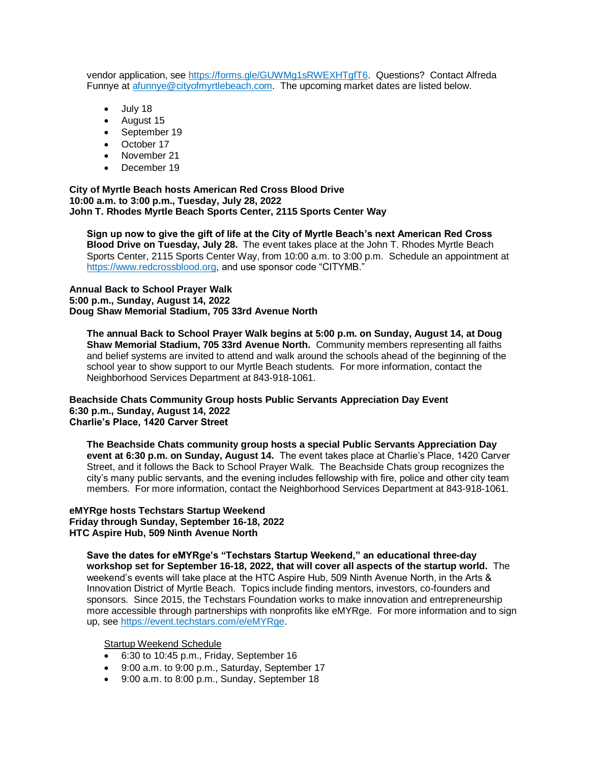vendor application, see [https://forms.gle/GUWMg1sRWEXHTgfT6.](https://forms.gle/GUWMg1sRWEXHTgfT6) Questions? Contact Alfreda Funnye at [afunnye@cityofmyrtlebeach.com.](mailto:afunnye@cityofmyrtlebeach.com) The upcoming market dates are listed below.

- July 18
- August 15
- September 19
- October 17
- November 21
- December 19

**City of Myrtle Beach hosts American Red Cross Blood Drive 10:00 a.m. to 3:00 p.m., Tuesday, July 28, 2022 John T. Rhodes Myrtle Beach Sports Center, 2115 Sports Center Way**

**Sign up now to give the gift of life at the City of Myrtle Beach's next American Red Cross Blood Drive on Tuesday, July 28.** The event takes place at the John T. Rhodes Myrtle Beach Sports Center, 2115 Sports Center Way, from 10:00 a.m. to 3:00 p.m. Schedule an appointment at https://www.redcrossblood.org, and use sponsor code "CITYMB."

## **Annual Back to School Prayer Walk 5:00 p.m., Sunday, August 14, 2022 Doug Shaw Memorial Stadium, 705 33rd Avenue North**

**The annual Back to School Prayer Walk begins at 5:00 p.m. on Sunday, August 14, at Doug Shaw Memorial Stadium, 705 33rd Avenue North.** Community members representing all faiths and belief systems are invited to attend and walk around the schools ahead of the beginning of the school year to show support to our Myrtle Beach students. For more information, contact the Neighborhood Services Department at 843-918-1061.

## **Beachside Chats Community Group hosts Public Servants Appreciation Day Event 6:30 p.m., Sunday, August 14, 2022 Charlie's Place, 1420 Carver Street**

**The Beachside Chats community group hosts a special Public Servants Appreciation Day event at 6:30 p.m. on Sunday, August 14.** The event takes place at Charlie's Place, 1420 Carver Street, and it follows the Back to School Prayer Walk. The Beachside Chats group recognizes the city's many public servants, and the evening includes fellowship with fire, police and other city team members. For more information, contact the Neighborhood Services Department at 843-918-1061.

# **eMYRge hosts Techstars Startup Weekend Friday through Sunday, September 16-18, 2022 HTC Aspire Hub, 509 Ninth Avenue North**

**Save the dates for eMYRge's "Techstars Startup Weekend," an educational three-day workshop set for September 16-18, 2022, that will cover all aspects of the startup world.** The weekend's events will take place at the HTC Aspire Hub, 509 Ninth Avenue North, in the Arts & Innovation District of Myrtle Beach. Topics include finding mentors, investors, co-founders and sponsors. Since 2015, the Techstars Foundation works to make innovation and entrepreneurship more accessible through partnerships with nonprofits like eMYRge. For more information and to sign up, see https://event.techstars.com/e/eMYRge.

# Startup Weekend Schedule

- 6:30 to 10:45 p.m., Friday, September 16
- 9:00 a.m. to 9:00 p.m., Saturday, September 17
- 9:00 a.m. to 8:00 p.m., Sunday, September 18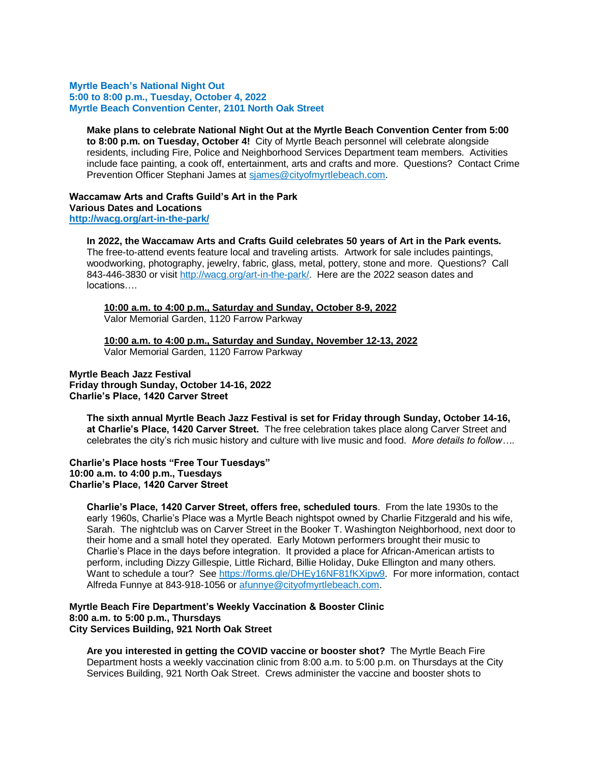#### **Myrtle Beach's National Night Out 5:00 to 8:00 p.m., Tuesday, October 4, 2022 Myrtle Beach Convention Center, 2101 North Oak Street**

**Make plans to celebrate National Night Out at the Myrtle Beach Convention Center from 5:00 to 8:00 p.m. on Tuesday, October 4!** City of Myrtle Beach personnel will celebrate alongside residents, including Fire, Police and Neighborhood Services Department team members. Activities include face painting, a cook off, entertainment, arts and crafts and more. Questions? Contact Crime Prevention Officer Stephani James at sjames@cityofmyrtlebeach.com.

# **Waccamaw Arts and Crafts Guild's Art in the Park Various Dates and Locations**

**http://wacg.org/art-in-the-park/**

# **In 2022, the Waccamaw Arts and Crafts Guild celebrates 50 years of Art in the Park events.**

The free-to-attend events feature local and traveling artists.Artwork for sale includes paintings, woodworking, photography, jewelry, fabric, glass, metal, pottery, stone and more. Questions? Call 843-446-3830 or visit http://wacg.org/art-in-the-park/. Here are the 2022 season dates and locations….

# **10:00 a.m. to 4:00 p.m., Saturday and Sunday, October 8-9, 2022**

Valor Memorial Garden, 1120 Farrow Parkway

**10:00 a.m. to 4:00 p.m., Saturday and Sunday, November 12-13, 2022** Valor Memorial Garden, 1120 Farrow Parkway

# **Myrtle Beach Jazz Festival Friday through Sunday, October 14-16, 2022 Charlie's Place, 1420 Carver Street**

**The sixth annual Myrtle Beach Jazz Festival is set for Friday through Sunday, October 14-16, at Charlie's Place, 1420 Carver Street.** The free celebration takes place along Carver Street and celebrates the city's rich music history and culture with live music and food. *More details to follow….*

## **Charlie's Place hosts "Free Tour Tuesdays" 10:00 a.m. to 4:00 p.m., Tuesdays Charlie's Place, 1420 Carver Street**

**Charlie's Place, 1420 Carver Street, offers free, scheduled tours**. From the late 1930s to the early 1960s, Charlie's Place was a Myrtle Beach nightspot owned by Charlie Fitzgerald and his wife, Sarah. The nightclub was on Carver Street in the Booker T. Washington Neighborhood, next door to their home and a small hotel they operated. Early Motown performers brought their music to Charlie's Place in the days before integration. It provided a place for African-American artists to perform, including Dizzy Gillespie, Little Richard, Billie Holiday, Duke Ellington and many others. Want to schedule a tour? See https://forms.gle/DHEy16NF81fKXipw9. For more information, contact Alfreda Funnye at 843-918-1056 or afunnye@cityofmyrtlebeach.com.

## **Myrtle Beach Fire Department's Weekly Vaccination & Booster Clinic 8:00 a.m. to 5:00 p.m., Thursdays City Services Building, 921 North Oak Street**

**Are you interested in getting the COVID vaccine or booster shot?** The Myrtle Beach Fire Department hosts a weekly vaccination clinic from 8:00 a.m. to 5:00 p.m. on Thursdays at the City Services Building, 921 North Oak Street. Crews administer the vaccine and booster shots to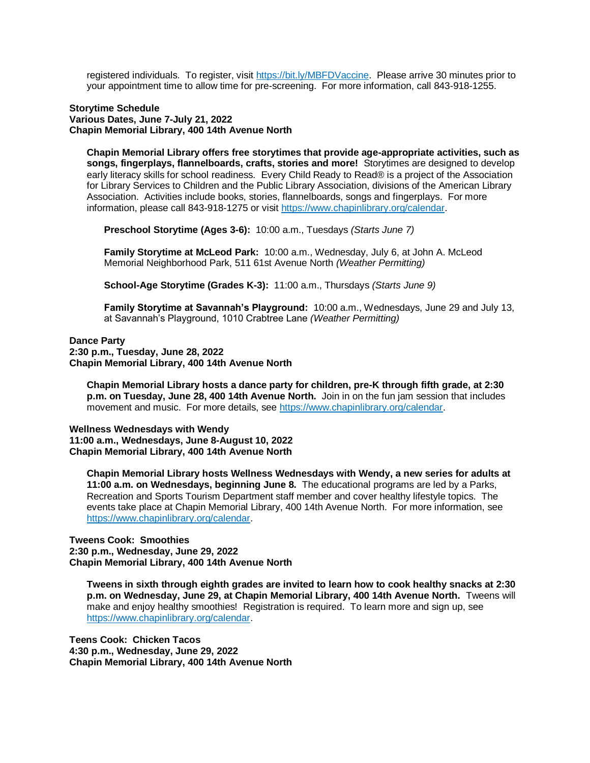registered individuals. To register, visit https://bit.ly/MBFDVaccine. Please arrive 30 minutes prior to your appointment time to allow time for pre-screening. For more information, call 843-918-1255.

#### **Storytime Schedule Various Dates, June 7-July 21, 2022 Chapin Memorial Library, 400 14th Avenue North**

**Chapin Memorial Library offers free storytimes that provide age-appropriate activities, such as songs, fingerplays, flannelboards, crafts, stories and more!** Storytimes are designed to develop early literacy skills for school readiness. Every Child Ready to Read® is a project of the Association for Library Services to Children and the Public Library Association, divisions of the American Library Association. Activities include books, stories, flannelboards, songs and fingerplays. For more information, please call 843-918-1275 or visit https://www.chapinlibrary.org/calendar.

**Preschool Storytime (Ages 3-6):** 10:00 a.m., Tuesdays *(Starts June 7)*

**Family Storytime at McLeod Park:** 10:00 a.m., Wednesday, July 6, at John A. McLeod Memorial Neighborhood Park, 511 61st Avenue North *(Weather Permitting)*

**School-Age Storytime (Grades K-3):** 11:00 a.m., Thursdays *(Starts June 9)*

**Family Storytime at Savannah's Playground:** 10:00 a.m., Wednesdays, June 29 and July 13, at Savannah's Playground, 1010 Crabtree Lane *(Weather Permitting)*

# **Dance Party 2:30 p.m., Tuesday, June 28, 2022 Chapin Memorial Library, 400 14th Avenue North**

**Chapin Memorial Library hosts a dance party for children, pre-K through fifth grade, at 2:30 p.m. on Tuesday, June 28, 400 14th Avenue North.** Join in on the fun jam session that includes movement and music.For more details, see https://www.chapinlibrary.org/calendar.

**Wellness Wednesdays with Wendy 11:00 a.m., Wednesdays, June 8-August 10, 2022 Chapin Memorial Library, 400 14th Avenue North**

**Chapin Memorial Library hosts Wellness Wednesdays with Wendy, a new series for adults at 11:00 a.m. on Wednesdays, beginning June 8.** The educational programs are led by a Parks, Recreation and Sports Tourism Department staff member and cover healthy lifestyle topics. The events take place at Chapin Memorial Library, 400 14th Avenue North.For more information, see https://www.chapinlibrary.org/calendar.

# **Tweens Cook: Smoothies 2:30 p.m., Wednesday, June 29, 2022 Chapin Memorial Library, 400 14th Avenue North**

**Tweens in sixth through eighth grades are invited to learn how to cook healthy snacks at 2:30 p.m. on Wednesday, June 29, at Chapin Memorial Library, 400 14th Avenue North.** Tweens will make and enjoy healthy smoothies! Registration is required. To learn more and sign up, see https://www.chapinlibrary.org/calendar.

**Teens Cook: Chicken Tacos 4:30 p.m., Wednesday, June 29, 2022 Chapin Memorial Library, 400 14th Avenue North**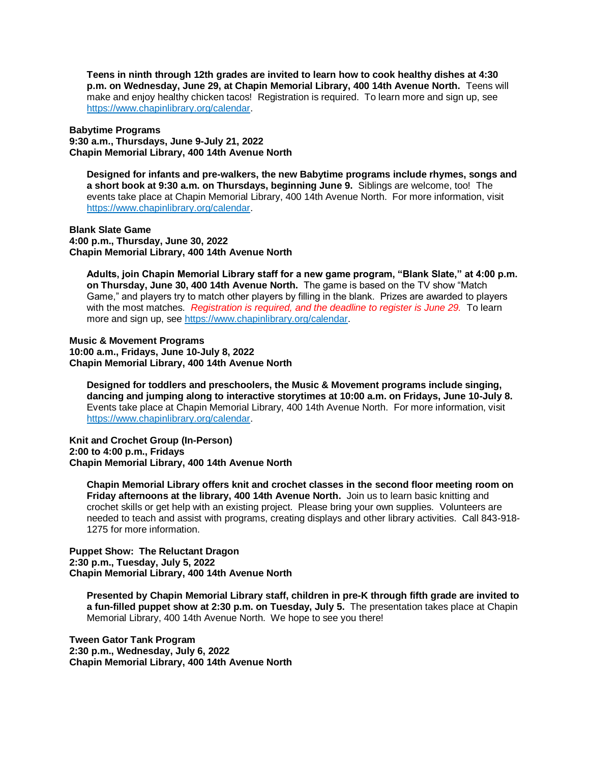**Teens in ninth through 12th grades are invited to learn how to cook healthy dishes at 4:30 p.m. on Wednesday, June 29, at Chapin Memorial Library, 400 14th Avenue North.** Teens will make and enjoy healthy chicken tacos! Registration is required. To learn more and sign up, see https://www.chapinlibrary.org/calendar.

**Babytime Programs 9:30 a.m., Thursdays, June 9-July 21, 2022 Chapin Memorial Library, 400 14th Avenue North** 

**Designed for infants and pre-walkers, the new Babytime programs include rhymes, songs and a short book at 9:30 a.m. on Thursdays, beginning June 9.** Siblings are welcome, too! The events take place at Chapin Memorial Library, 400 14th Avenue North. For more information, visit https://www.chapinlibrary.org/calendar.

**Blank Slate Game 4:00 p.m., Thursday, June 30, 2022 Chapin Memorial Library, 400 14th Avenue North**

**Adults, join Chapin Memorial Library staff for a new game program, "Blank Slate," at 4:00 p.m. on Thursday, June 30, 400 14th Avenue North.** The game is based on the TV show "Match Game," and players try to match other players by filling in the blank. Prizes are awarded to players with the most matches. *Registration is required, and the deadline to register is June 29.* To learn more and sign up, see https://www.chapinlibrary.org/calendar.

**Music & Movement Programs 10:00 a.m., Fridays, June 10-July 8, 2022 Chapin Memorial Library, 400 14th Avenue North** 

**Designed for toddlers and preschoolers, the Music & Movement programs include singing, dancing and jumping along to interactive storytimes at 10:00 a.m. on Fridays, June 10-July 8.**  Events take place at Chapin Memorial Library, 400 14th Avenue North. For more information, visit https://www.chapinlibrary.org/calendar.

**Knit and Crochet Group (In-Person) 2:00 to 4:00 p.m., Fridays Chapin Memorial Library, 400 14th Avenue North**

**Chapin Memorial Library offers knit and crochet classes in the second floor meeting room on Friday afternoons at the library, 400 14th Avenue North.** Join us to learn basic knitting and crochet skills or get help with an existing project. Please bring your own supplies. Volunteers are needed to teach and assist with programs, creating displays and other library activities. Call 843-918- 1275 for more information.

**Puppet Show: The Reluctant Dragon 2:30 p.m., Tuesday, July 5, 2022 Chapin Memorial Library, 400 14th Avenue North**

**Presented by Chapin Memorial Library staff, children in pre-K through fifth grade are invited to a fun-filled puppet show at 2:30 p.m. on Tuesday, July 5.** The presentation takes place at Chapin Memorial Library, 400 14th Avenue North. We hope to see you there!

**Tween Gator Tank Program 2:30 p.m., Wednesday, July 6, 2022 Chapin Memorial Library, 400 14th Avenue North**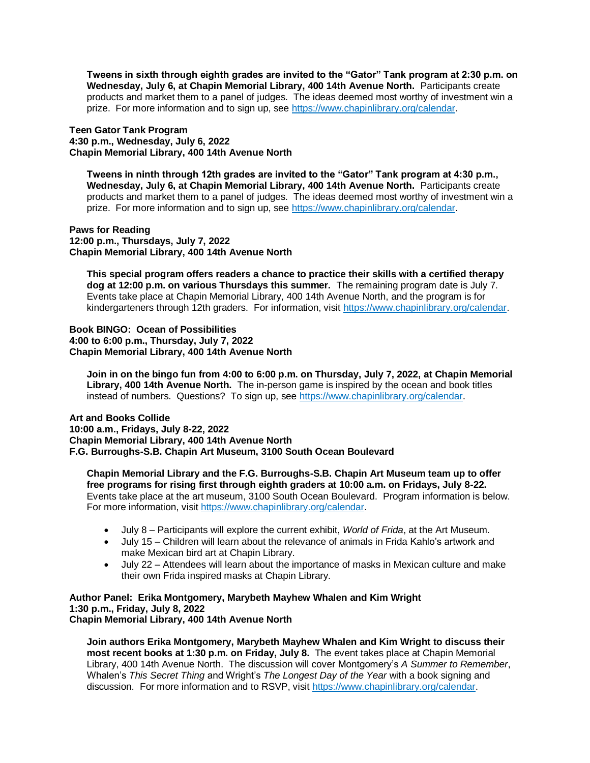**Tweens in sixth through eighth grades are invited to the "Gator" Tank program at 2:30 p.m. on Wednesday, July 6, at Chapin Memorial Library, 400 14th Avenue North.** Participants create products and market them to a panel of judges. The ideas deemed most worthy of investment win a prize. For more information and to sign up, see https://www.chapinlibrary.org/calendar.

# **Teen Gator Tank Program 4:30 p.m., Wednesday, July 6, 2022 Chapin Memorial Library, 400 14th Avenue North**

**Tweens in ninth through 12th grades are invited to the "Gator" Tank program at 4:30 p.m., Wednesday, July 6, at Chapin Memorial Library, 400 14th Avenue North.** Participants create products and market them to a panel of judges. The ideas deemed most worthy of investment win a prize. For more information and to sign up, see https://www.chapinlibrary.org/calendar.

#### **Paws for Reading 12:00 p.m., Thursdays, July 7, 2022 Chapin Memorial Library, 400 14th Avenue North**

**This special program offers readers a chance to practice their skills with a certified therapy dog at 12:00 p.m. on various Thursdays this summer.** The remaining program date is July 7. Events take place at Chapin Memorial Library, 400 14th Avenue North, and the program is for kindergarteners through 12th graders. For information, visit https://www.chapinlibrary.org/calendar.

# **Book BINGO: Ocean of Possibilities 4:00 to 6:00 p.m., Thursday, July 7, 2022 Chapin Memorial Library, 400 14th Avenue North**

**Join in on the bingo fun from 4:00 to 6:00 p.m. on Thursday, July 7, 2022, at Chapin Memorial Library, 400 14th Avenue North.** The in-person game is inspired by the ocean and book titles instead of numbers. Questions? To sign up, see https://www.chapinlibrary.org/calendar.

# **Art and Books Collide 10:00 a.m., Fridays, July 8-22, 2022 Chapin Memorial Library, 400 14th Avenue North F.G. Burroughs-S.B. Chapin Art Museum, 3100 South Ocean Boulevard**

**Chapin Memorial Library and the F.G. Burroughs-S.B. Chapin Art Museum team up to offer free programs for rising first through eighth graders at 10:00 a.m. on Fridays, July 8-22.**  Events take place at the art museum, 3100 South Ocean Boulevard. Program information is below. For more information, visit https://www.chapinlibrary.org/calendar.

- July 8 Participants will explore the current exhibit, *World of Frida*, at the Art Museum.
- July 15 Children will learn about the relevance of animals in Frida Kahlo's artwork and make Mexican bird art at Chapin Library.
- July 22 Attendees will learn about the importance of masks in Mexican culture and make their own Frida inspired masks at Chapin Library.

#### **Author Panel: Erika Montgomery, Marybeth Mayhew Whalen and Kim Wright 1:30 p.m., Friday, July 8, 2022 Chapin Memorial Library, 400 14th Avenue North**

**Join authors Erika Montgomery, Marybeth Mayhew Whalen and Kim Wright to discuss their most recent books at 1:30 p.m. on Friday, July 8.** The event takes place at Chapin Memorial Library, 400 14th Avenue North. The discussion will cover Montgomery's *A Summer to Remember*, Whalen's *This Secret Thing* and Wright's *The Longest Day of the Year* with a book signing and discussion. For more information and to RSVP, visit https://www.chapinlibrary.org/calendar.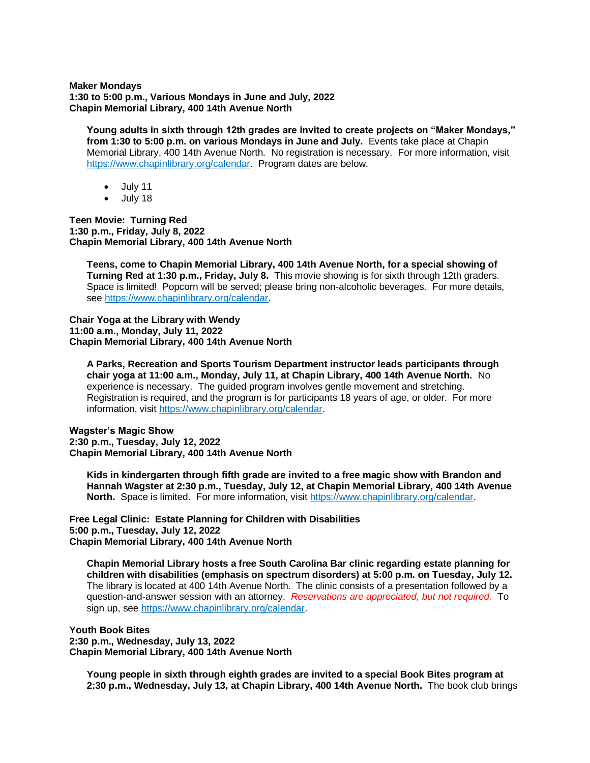**Maker Mondays 1:30 to 5:00 p.m., Various Mondays in June and July, 2022 Chapin Memorial Library, 400 14th Avenue North** 

**Young adults in sixth through 12th grades are invited to create projects on "Maker Mondays," from 1:30 to 5:00 p.m. on various Mondays in June and July.** Events take place at Chapin Memorial Library, 400 14th Avenue North. No registration is necessary. For more information, visit https://www.chapinlibrary.org/calendar. Program dates are below.

- $\bullet$  July 11
- July 18

**Teen Movie: Turning Red 1:30 p.m., Friday, July 8, 2022 Chapin Memorial Library, 400 14th Avenue North**

**Teens, come to Chapin Memorial Library, 400 14th Avenue North, for a special showing of Turning Red at 1:30 p.m., Friday, July 8.** This movie showing is for sixth through 12th graders. Space is limited! Popcorn will be served; please bring non-alcoholic beverages. For more details, see https://www.chapinlibrary.org/calendar.

**Chair Yoga at the Library with Wendy 11:00 a.m., Monday, July 11, 2022 Chapin Memorial Library, 400 14th Avenue North**

**A Parks, Recreation and Sports Tourism Department instructor leads participants through chair yoga at 11:00 a.m., Monday, July 11, at Chapin Library, 400 14th Avenue North.** No experience is necessary. The guided program involves gentle movement and stretching. Registration is required, and the program is for participants 18 years of age, or older. For more information, visit https://www.chapinlibrary.org/calendar.

**Wagster's Magic Show 2:30 p.m., Tuesday, July 12, 2022 Chapin Memorial Library, 400 14th Avenue North** 

**Kids in kindergarten through fifth grade are invited to a free magic show with Brandon and Hannah Wagster at 2:30 p.m., Tuesday, July 12, at Chapin Memorial Library, 400 14th Avenue North.** Space is limited.For more information, visit https://www.chapinlibrary.org/calendar.

**Free Legal Clinic: Estate Planning for Children with Disabilities 5:00 p.m., Tuesday, July 12, 2022 Chapin Memorial Library, 400 14th Avenue North**

**Chapin Memorial Library hosts a free South Carolina Bar clinic regarding estate planning for children with disabilities (emphasis on spectrum disorders) at 5:00 p.m. on Tuesday, July 12.**  The library is located at 400 14th Avenue North. The clinic consists of a presentation followed by a question-and-answer session with an attorney. *Reservations are appreciated, but not required.* To sign up, see https://www.chapinlibrary.org/calendar.

**Youth Book Bites 2:30 p.m., Wednesday, July 13, 2022 Chapin Memorial Library, 400 14th Avenue North**

**Young people in sixth through eighth grades are invited to a special Book Bites program at 2:30 p.m., Wednesday, July 13, at Chapin Library, 400 14th Avenue North.** The book club brings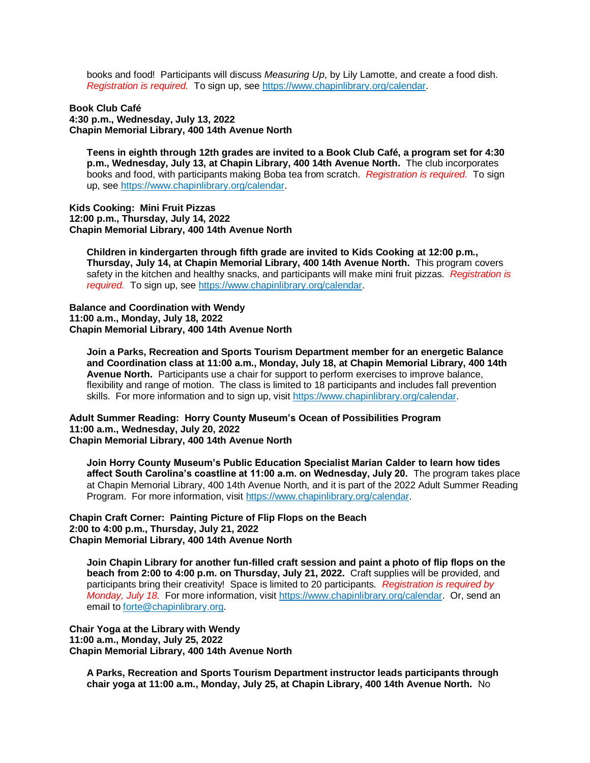books and food! Participants will discuss *Measuring Up*, by Lily Lamotte, and create a food dish. *Registration is required.* To sign up, see https://www.chapinlibrary.org/calendar.

**Book Club Café 4:30 p.m., Wednesday, July 13, 2022 Chapin Memorial Library, 400 14th Avenue North**

**Teens in eighth through 12th grades are invited to a Book Club Café, a program set for 4:30 p.m., Wednesday, July 13, at Chapin Library, 400 14th Avenue North.** The club incorporates books and food, with participants making Boba tea from scratch. *Registration is required.* To sign up, see https://www.chapinlibrary.org/calendar.

**Kids Cooking: Mini Fruit Pizzas 12:00 p.m., Thursday, July 14, 2022 Chapin Memorial Library, 400 14th Avenue North** 

**Children in kindergarten through fifth grade are invited to Kids Cooking at 12:00 p.m., Thursday, July 14, at Chapin Memorial Library, 400 14th Avenue North.** This program covers safety in the kitchen and healthy snacks, and participants will make mini fruit pizzas.*Registration is required.* To sign up, see https://www.chapinlibrary.org/calendar.

**Balance and Coordination with Wendy 11:00 a.m., Monday, July 18, 2022 Chapin Memorial Library, 400 14th Avenue North**

**Join a Parks, Recreation and Sports Tourism Department member for an energetic Balance and Coordination class at 11:00 a.m., Monday, July 18, at Chapin Memorial Library, 400 14th Avenue North.** Participants use a chair for support to perform exercises to improve balance, flexibility and range of motion. The class is limited to 18 participants and includes fall prevention skills. For more information and to sign up, visit https://www.chapinlibrary.org/calendar.

**Adult Summer Reading: Horry County Museum's Ocean of Possibilities Program 11:00 a.m., Wednesday, July 20, 2022 Chapin Memorial Library, 400 14th Avenue North**

**Join Horry County Museum's Public Education Specialist Marian Calder to learn how tides affect South Carolina's coastline at 11:00 a.m. on Wednesday, July 20.** The program takes place at Chapin Memorial Library, 400 14th Avenue North, and it is part of the 2022 Adult Summer Reading Program.For more information, visit https://www.chapinlibrary.org/calendar.

**Chapin Craft Corner: Painting Picture of Flip Flops on the Beach 2:00 to 4:00 p.m., Thursday, July 21, 2022 Chapin Memorial Library, 400 14th Avenue North**

**Join Chapin Library for another fun-filled craft session and paint a photo of flip flops on the beach from 2:00 to 4:00 p.m. on Thursday, July 21, 2022.** Craft supplies will be provided, and participants bring their creativity! Space is limited to 20 participants*. Registration is required by Monday, July 18.* For more information, visit https://www.chapinlibrary.org/calendar. Or, send an email to forte@chapinlibrary.org.

**Chair Yoga at the Library with Wendy 11:00 a.m., Monday, July 25, 2022 Chapin Memorial Library, 400 14th Avenue North**

**A Parks, Recreation and Sports Tourism Department instructor leads participants through chair yoga at 11:00 a.m., Monday, July 25, at Chapin Library, 400 14th Avenue North.** No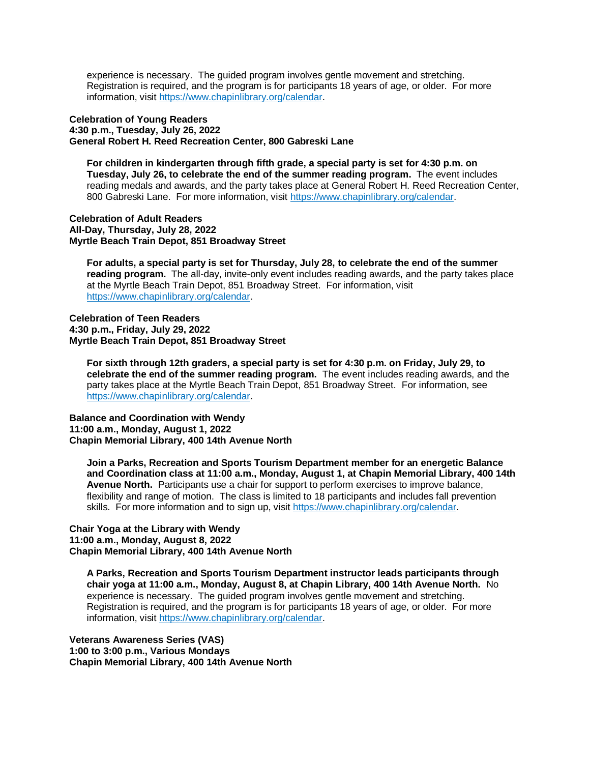experience is necessary. The guided program involves gentle movement and stretching. Registration is required, and the program is for participants 18 years of age, or older. For more information, visit https://www.chapinlibrary.org/calendar.

**Celebration of Young Readers 4:30 p.m., Tuesday, July 26, 2022 General Robert H. Reed Recreation Center, 800 Gabreski Lane**

**For children in kindergarten through fifth grade, a special party is set for 4:30 p.m. on Tuesday, July 26, to celebrate the end of the summer reading program.** The event includes reading medals and awards, and the party takes place at General Robert H. Reed Recreation Center, 800 Gabreski Lane. For more information, visit https://www.chapinlibrary.org/calendar.

**Celebration of Adult Readers All-Day, Thursday, July 28, 2022 Myrtle Beach Train Depot, 851 Broadway Street**

**For adults, a special party is set for Thursday, July 28, to celebrate the end of the summer reading program.** The all-day, invite-only event includes reading awards, and the party takes place at the Myrtle Beach Train Depot, 851 Broadway Street. For information, visit https://www.chapinlibrary.org/calendar.

#### **Celebration of Teen Readers 4:30 p.m., Friday, July 29, 2022 Myrtle Beach Train Depot, 851 Broadway Street**

**For sixth through 12th graders, a special party is set for 4:30 p.m. on Friday, July 29, to celebrate the end of the summer reading program.** The event includes reading awards, and the party takes place at the Myrtle Beach Train Depot, 851 Broadway Street. For information, see https://www.chapinlibrary.org/calendar.

**Balance and Coordination with Wendy 11:00 a.m., Monday, August 1, 2022 Chapin Memorial Library, 400 14th Avenue North**

**Join a Parks, Recreation and Sports Tourism Department member for an energetic Balance and Coordination class at 11:00 a.m., Monday, August 1, at Chapin Memorial Library, 400 14th Avenue North.** Participants use a chair for support to perform exercises to improve balance, flexibility and range of motion. The class is limited to 18 participants and includes fall prevention skills. For more information and to sign up, visit https://www.chapinlibrary.org/calendar.

## **Chair Yoga at the Library with Wendy 11:00 a.m., Monday, August 8, 2022 Chapin Memorial Library, 400 14th Avenue North**

**A Parks, Recreation and Sports Tourism Department instructor leads participants through chair yoga at 11:00 a.m., Monday, August 8, at Chapin Library, 400 14th Avenue North.** No experience is necessary. The guided program involves gentle movement and stretching. Registration is required, and the program is for participants 18 years of age, or older. For more information, visit https://www.chapinlibrary.org/calendar.

**Veterans Awareness Series (VAS) 1:00 to 3:00 p.m., Various Mondays Chapin Memorial Library, 400 14th Avenue North**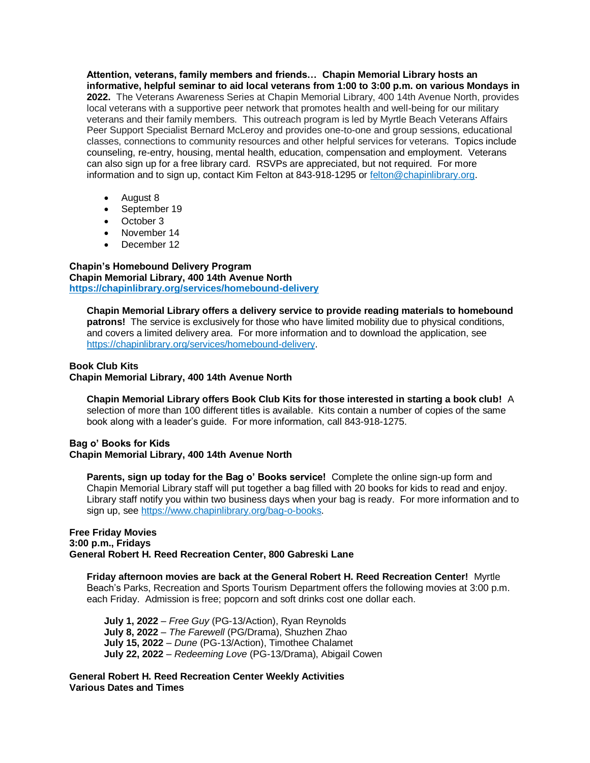**Attention, veterans, family members and friends… Chapin Memorial Library hosts an informative, helpful seminar to aid local veterans from 1:00 to 3:00 p.m. on various Mondays in 2022.** The Veterans Awareness Series at Chapin Memorial Library, 400 14th Avenue North, provides local veterans with a supportive peer network that promotes health and well-being for our military veterans and their family members. This outreach program is led by Myrtle Beach Veterans Affairs Peer Support Specialist Bernard McLeroy and provides one-to-one and group sessions, educational classes, connections to community resources and other helpful services for veterans. Topics include counseling, re-entry, housing, mental health, education, compensation and employment. Veterans can also sign up for a free library card. RSVPs are appreciated, but not required. For more information and to sign up, contact Kim Felton at 843-918-1295 or felton@chapinlibrary.org.

- August 8
- September 19
- October 3
- November 14
- December 12

**Chapin's Homebound Delivery Program Chapin Memorial Library, 400 14th Avenue North https://chapinlibrary.org/services/homebound-delivery** 

**Chapin Memorial Library offers a delivery service to provide reading materials to homebound patrons!** The service is exclusively for those who have limited mobility due to physical conditions, and covers a limited delivery area. For more information and to download the application, see https://chapinlibrary.org/services/homebound-delivery.

#### **Book Club Kits**

**Chapin Memorial Library, 400 14th Avenue North**

**Chapin Memorial Library offers Book Club Kits for those interested in starting a book club!** A selection of more than 100 different titles is available. Kits contain a number of copies of the same book along with a leader's guide. For more information, call 843-918-1275.

#### **Bag o' Books for Kids Chapin Memorial Library, 400 14th Avenue North**

**Parents, sign up today for the Bag o' Books service!** Complete the online sign-up form and Chapin Memorial Library staff will put together a bag filled with 20 books for kids to read and enjoy. Library staff notify you within two business days when your bag is ready. For more information and to sign up, see https://www.chapinlibrary.org/bag-o-books.

### **Free Friday Movies 3:00 p.m., Fridays General Robert H. Reed Recreation Center, 800 Gabreski Lane**

**Friday afternoon movies are back at the General Robert H. Reed Recreation Center!** Myrtle Beach's Parks, Recreation and Sports Tourism Department offers the following movies at 3:00 p.m. each Friday. Admission is free; popcorn and soft drinks cost one dollar each.

**July 1, 2022** – *Free Guy* (PG-13/Action), Ryan Reynolds **July 8, 2022** – *The Farewell* (PG/Drama), Shuzhen Zhao **July 15, 2022** – *Dune* (PG-13/Action), Timothee Chalamet **July 22, 2022** – *Redeeming Love* (PG-13/Drama), Abigail Cowen

**General Robert H. Reed Recreation Center Weekly Activities Various Dates and Times**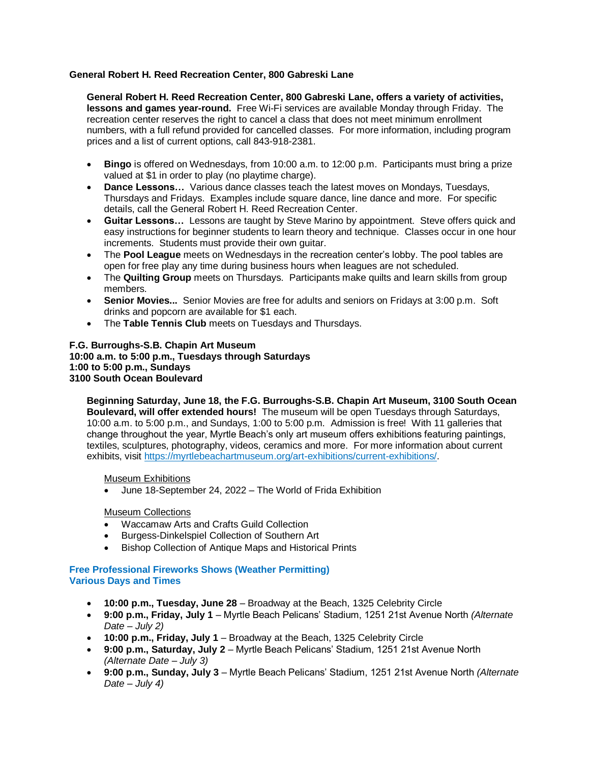# **General Robert H. Reed Recreation Center, 800 Gabreski Lane**

**General Robert H. Reed Recreation Center, 800 Gabreski Lane, offers a variety of activities, lessons and games year-round.** Free Wi-Fi services are available Monday through Friday. The recreation center reserves the right to cancel a class that does not meet minimum enrollment numbers, with a full refund provided for cancelled classes. For more information, including program prices and a list of current options, call 843-918-2381.

- **Bingo** is offered on Wednesdays, from 10:00 a.m. to 12:00 p.m. Participants must bring a prize valued at \$1 in order to play (no playtime charge).
- **Dance Lessons…** Various dance classes teach the latest moves on Mondays, Tuesdays, Thursdays and Fridays. Examples include square dance, line dance and more. For specific details, call the General Robert H. Reed Recreation Center.
- **Guitar Lessons…** Lessons are taught by Steve Marino by appointment. Steve offers quick and easy instructions for beginner students to learn theory and technique. Classes occur in one hour increments. Students must provide their own guitar.
- The **Pool League** meets on Wednesdays in the recreation center's lobby. The pool tables are open for free play any time during business hours when leagues are not scheduled.
- The **Quilting Group** meets on Thursdays. Participants make quilts and learn skills from group members.
- **Senior Movies...** Senior Movies are free for adults and seniors on Fridays at 3:00 p.m. Soft drinks and popcorn are available for \$1 each.
- The **Table Tennis Club** meets on Tuesdays and Thursdays.

## **F.G. Burroughs-S.B. Chapin Art Museum 10:00 a.m. to 5:00 p.m., Tuesdays through Saturdays 1:00 to 5:00 p.m., Sundays 3100 South Ocean Boulevard**

**Beginning Saturday, June 18, the F.G. Burroughs-S.B. Chapin Art Museum, 3100 South Ocean Boulevard, will offer extended hours!** The museum will be open Tuesdays through Saturdays, 10:00 a.m. to 5:00 p.m., and Sundays, 1:00 to 5:00 p.m. Admission is free! With 11 galleries that change throughout the year, Myrtle Beach's only art museum offers exhibitions featuring paintings, textiles, sculptures, photography, videos, ceramics and more. For more information about current exhibits, visit https://myrtlebeachartmuseum.org/art-exhibitions/current-exhibitions/.

# Museum Exhibitions

June 18-September 24, 2022 – The World of Frida Exhibition

# Museum Collections

- Waccamaw Arts and Crafts Guild Collection
- Burgess-Dinkelspiel Collection of Southern Art
- Bishop Collection of Antique Maps and Historical Prints

# **Free Professional Fireworks Shows (Weather Permitting) Various Days and Times**

- **10:00 p.m., Tuesday, June 28** Broadway at the Beach, 1325 Celebrity Circle
- **9:00 p.m., Friday, July 1**  Myrtle Beach Pelicans' Stadium, 1251 21st Avenue North *(Alternate Date – July 2)*
- **10:00 p.m., Friday, July 1** Broadway at the Beach, 1325 Celebrity Circle
- **9:00 p.m., Saturday, July 2**  Myrtle Beach Pelicans' Stadium, 1251 21st Avenue North *(Alternate Date – July 3)*
- **9:00 p.m., Sunday, July 3**  Myrtle Beach Pelicans' Stadium, 1251 21st Avenue North *(Alternate Date – July 4)*